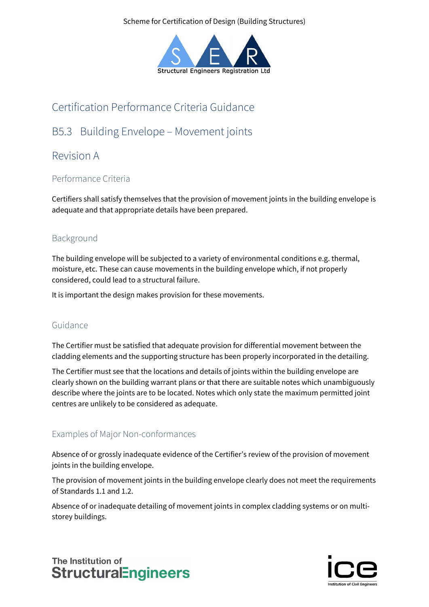Scheme for Certification of Design (Building Structures)



# Certification Performance Criteria Guidance

## B5.3 Building Envelope – Movement joints

### Revision A

### Performance Criteria

Certifiers shall satisfy themselves that the provision of movement joints in the building envelope is adequate and that appropriate details have been prepared.

### Background

The building envelope will be subjected to a variety of environmental conditions e.g. thermal, moisture, etc. These can cause movements in the building envelope which, if not properly considered, could lead to a structural failure.

It is important the design makes provision for these movements.

#### Guidance

The Certifier must be satisfied that adequate provision for differential movement between the cladding elements and the supporting structure has been properly incorporated in the detailing.

The Certifier must see that the locations and details of joints within the building envelope are clearly shown on the building warrant plans or that there are suitable notes which unambiguously describe where the joints are to be located. Notes which only state the maximum permitted joint centres are unlikely to be considered as adequate.

#### Examples of Major Non-conformances

Absence of or grossly inadequate evidence of the Certifier's review of the provision of movement joints in the building envelope.

The provision of movement joints in the building envelope clearly does not meet the requirements of Standards 1.1 and 1.2.

Absence of or inadequate detailing of movement joints in complex cladding systems or on multistorey buildings.